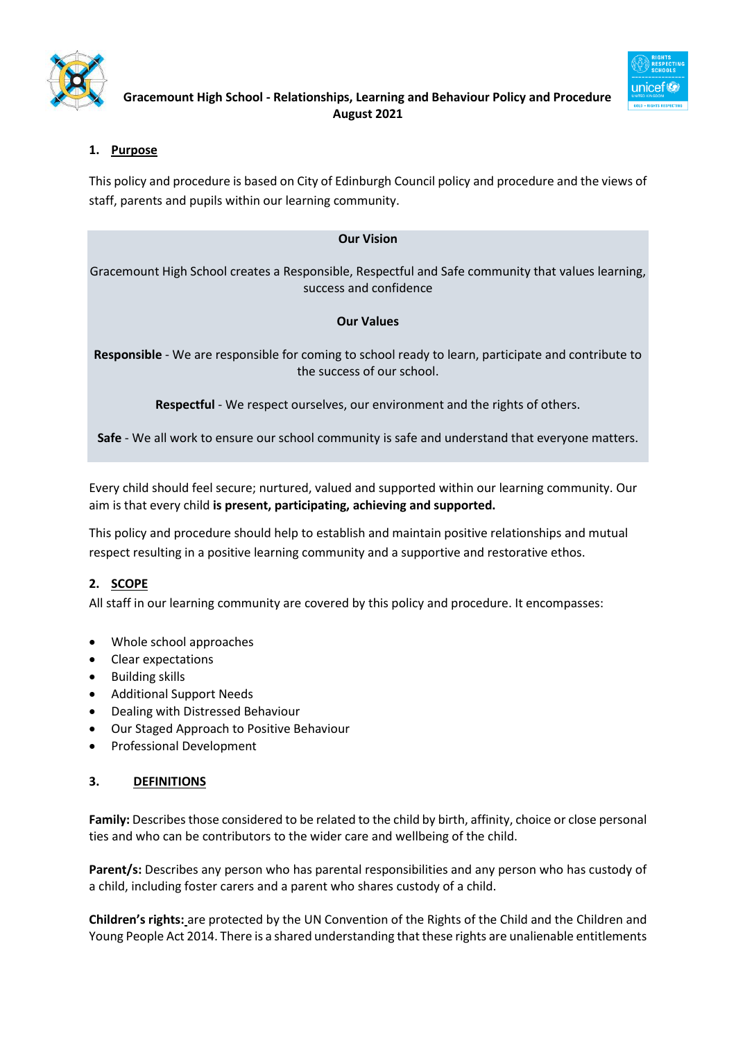

# **1. Purpose**

This policy and procedure is based on City of Edinburgh Council policy and procedure and the views of staff, parents and pupils within our learning community.

# **Our Vision**

Gracemount High School creates a Responsible, Respectful and Safe community that values learning, success and confidence

# **Our Values**

**Responsible** - We are responsible for coming to school ready to learn, participate and contribute to the success of our school.

**Respectful** - We respect ourselves, our environment and the rights of others.

**Safe** - We all work to ensure our school community is safe and understand that everyone matters.

Every child should feel secure; nurtured, valued and supported within our learning community. Our aim is that every child **is present, participating, achieving and supported.**

This policy and procedure should help to establish and maintain positive relationships and mutual respect resulting in a positive learning community and a supportive and restorative ethos.

# **2. SCOPE**

All staff in our learning community are covered by this policy and procedure. It encompasses:

- Whole school approaches
- Clear expectations
- Building skills
- Additional Support Needs
- Dealing with Distressed Behaviour
- Our Staged Approach to Positive Behaviour
- Professional Development

# **3. DEFINITIONS**

**Family:** Describes those considered to be related to the child by birth, affinity, choice or close personal ties and who can be contributors to the wider care and wellbeing of the child.

**Parent/s:** Describes any person who has parental responsibilities and any person who has custody of a child, including foster carers and a parent who shares custody of a child.

**Children's rights:** are protected by the UN Convention of the Rights of the Child and the Children and Young People Act 2014. There is a shared understanding that these rights are unalienable entitlements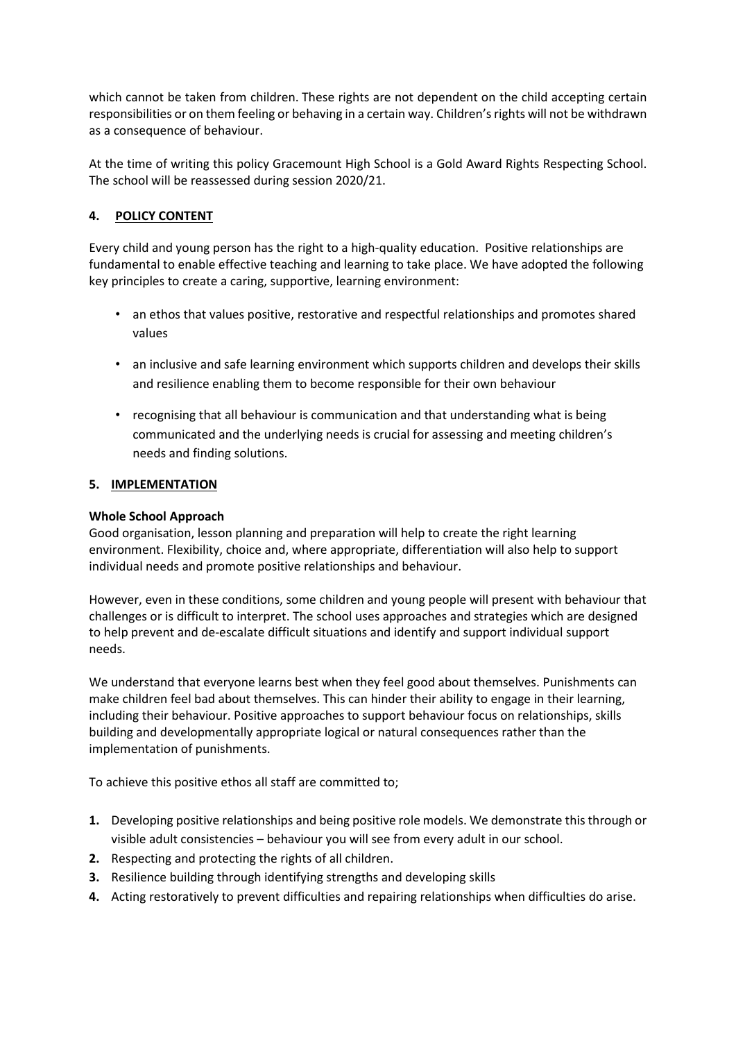which cannot be taken from children. These rights are not dependent on the child accepting certain responsibilities or on them feeling or behaving in a certain way. Children's rights will not be withdrawn as a consequence of behaviour.

At the time of writing this policy Gracemount High School is a Gold Award Rights Respecting School. The school will be reassessed during session 2020/21.

# **4. POLICY CONTENT**

Every child and young person has the right to a high-quality education. Positive relationships are fundamental to enable effective teaching and learning to take place. We have adopted the following key principles to create a caring, supportive, learning environment:

- an ethos that values positive, restorative and respectful relationships and promotes shared values
- an inclusive and safe learning environment which supports children and develops their skills and resilience enabling them to become responsible for their own behaviour
- recognising that all behaviour is communication and that understanding what is being communicated and the underlying needs is crucial for assessing and meeting children's needs and finding solutions.

# **5. IMPLEMENTATION**

# **Whole School Approach**

Good organisation, lesson planning and preparation will help to create the right learning environment. Flexibility, choice and, where appropriate, differentiation will also help to support individual needs and promote positive relationships and behaviour.

However, even in these conditions, some children and young people will present with behaviour that challenges or is difficult to interpret. The school uses approaches and strategies which are designed to help prevent and de-escalate difficult situations and identify and support individual support needs.

We understand that everyone learns best when they feel good about themselves. Punishments can make children feel bad about themselves. This can hinder their ability to engage in their learning, including their behaviour. Positive approaches to support behaviour focus on relationships, skills building and developmentally appropriate logical or natural consequences rather than the implementation of punishments.

To achieve this positive ethos all staff are committed to;

- **1.** Developing positive relationships and being positive role models. We demonstrate this through or visible adult consistencies – behaviour you will see from every adult in our school.
- **2.** Respecting and protecting the rights of all children.
- **3.** Resilience building through identifying strengths and developing skills
- **4.** Acting restoratively to prevent difficulties and repairing relationships when difficulties do arise.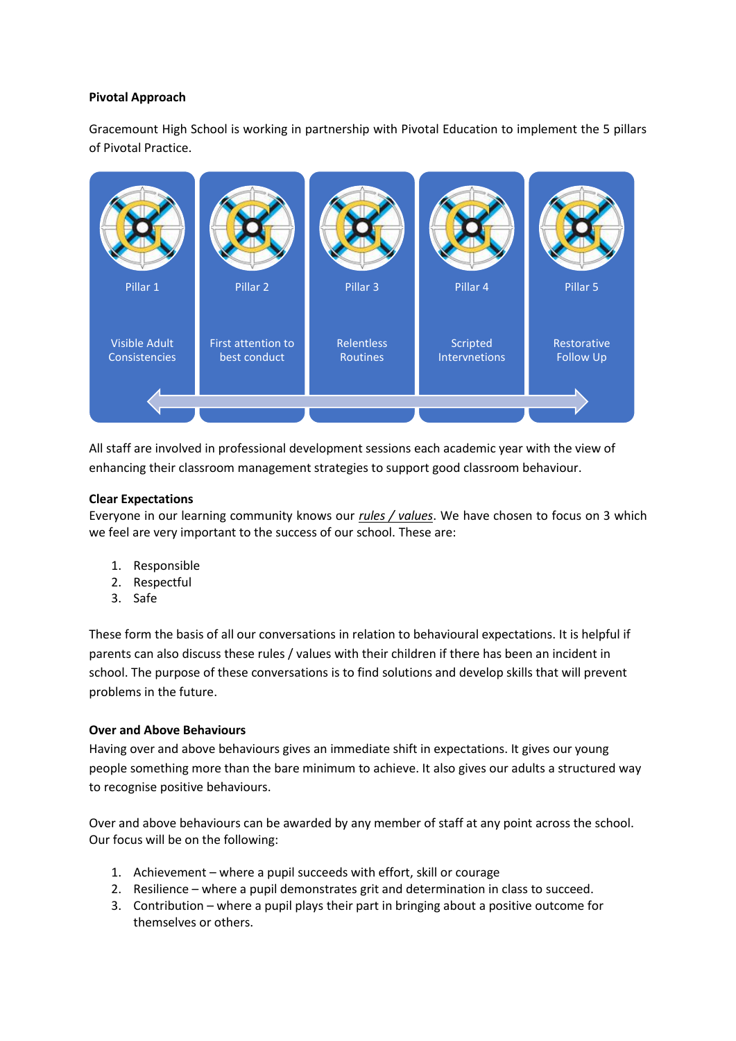### **Pivotal Approach**

Gracemount High School is working in partnership with Pivotal Education to implement the 5 pillars of Pivotal Practice.



All staff are involved in professional development sessions each academic year with the view of enhancing their classroom management strategies to support good classroom behaviour.

# **Clear Expectations**

Everyone in our learning community knows our *rules / values*. We have chosen to focus on 3 which we feel are very important to the success of our school. These are:

- 1. Responsible
- 2. Respectful
- 3. Safe

These form the basis of all our conversations in relation to behavioural expectations. It is helpful if parents can also discuss these rules / values with their children if there has been an incident in school. The purpose of these conversations is to find solutions and develop skills that will prevent problems in the future.

#### **Over and Above Behaviours**

Having over and above behaviours gives an immediate shift in expectations. It gives our young people something more than the bare minimum to achieve. It also gives our adults a structured way to recognise positive behaviours.

Over and above behaviours can be awarded by any member of staff at any point across the school. Our focus will be on the following:

- 1. Achievement where a pupil succeeds with effort, skill or courage
- 2. Resilience where a pupil demonstrates grit and determination in class to succeed.
- 3. Contribution where a pupil plays their part in bringing about a positive outcome for themselves or others.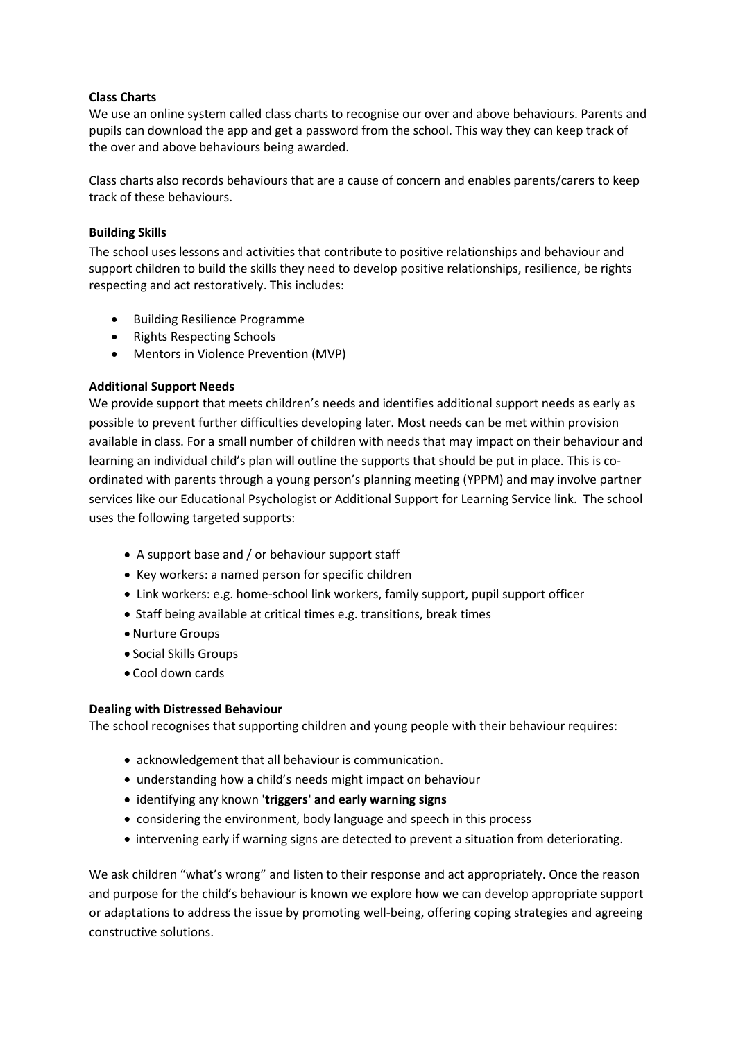# **Class Charts**

We use an online system called class charts to recognise our over and above behaviours. Parents and pupils can download the app and get a password from the school. This way they can keep track of the over and above behaviours being awarded.

Class charts also records behaviours that are a cause of concern and enables parents/carers to keep track of these behaviours.

# **Building Skills**

The school uses lessons and activities that contribute to positive relationships and behaviour and support children to build the skills they need to develop positive relationships, resilience, be rights respecting and act restoratively. This includes:

- Building Resilience Programme
- Rights Respecting Schools
- Mentors in Violence Prevention (MVP)

# **Additional Support Needs**

We provide support that meets children's needs and identifies additional support needs as early as possible to prevent further difficulties developing later. Most needs can be met within provision available in class. For a small number of children with needs that may impact on their behaviour and learning an individual child's plan will outline the supports that should be put in place. This is coordinated with parents through a young person's planning meeting (YPPM) and may involve partner services like our Educational Psychologist or Additional Support for Learning Service link. The school uses the following targeted supports:

- A support base and / or behaviour support staff
- Key workers: a named person for specific children
- Link workers: e.g. home-school link workers, family support, pupil support officer
- Staff being available at critical times e.g. transitions, break times
- Nurture Groups
- Social Skills Groups
- Cool down cards

#### **Dealing with Distressed Behaviour**

The school recognises that supporting children and young people with their behaviour requires:

- acknowledgement that all behaviour is communication.
- understanding how a child's needs might impact on behaviour
- identifying any known **'triggers' and early warning signs**
- considering the environment, body language and speech in this process
- intervening early if warning signs are detected to prevent a situation from deteriorating.

We ask children "what's wrong" and listen to their response and act appropriately. Once the reason and purpose for the child's behaviour is known we explore how we can develop appropriate support or adaptations to address the issue by promoting well-being, offering coping strategies and agreeing constructive solutions.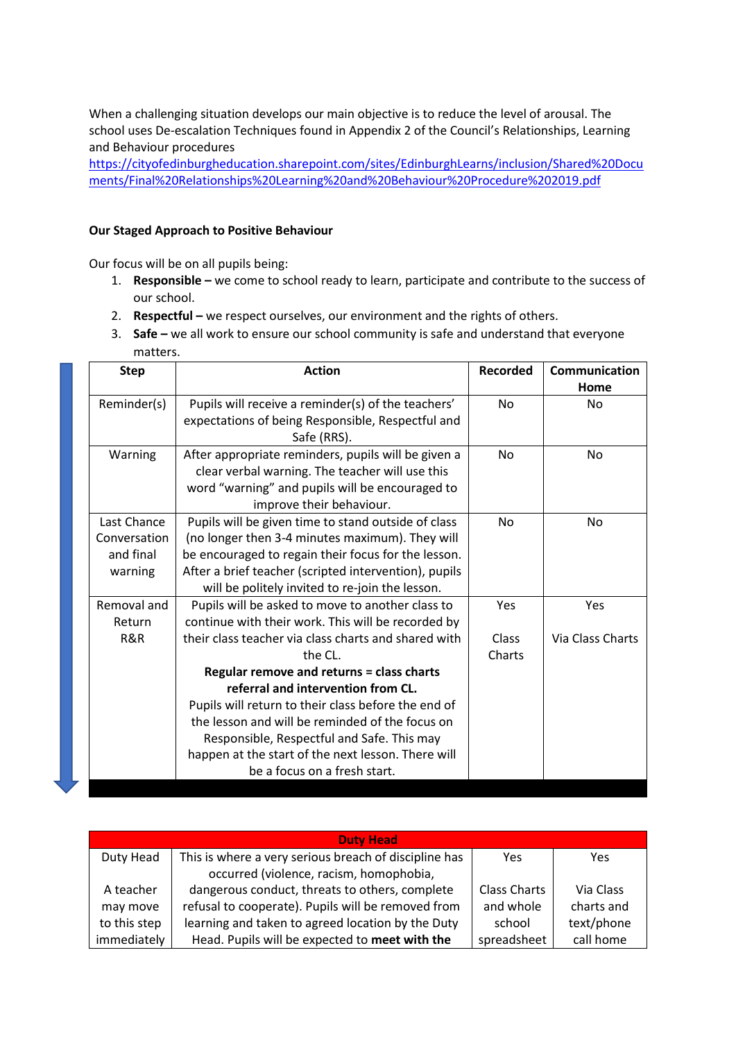When a challenging situation develops our main objective is to reduce the level of arousal. The school uses De-escalation Techniques found in Appendix 2 of the Council's Relationships, Learning and Behaviour procedures

[https://cityofedinburgheducation.sharepoint.com/sites/EdinburghLearns/inclusion/Shared%20Docu](https://cityofedinburgheducation.sharepoint.com/sites/EdinburghLearns/inclusion/Shared%20Documents/Final%20Relationships%20Learning%20and%20Behaviour%20Procedure%202019.pdf) [ments/Final%20Relationships%20Learning%20and%20Behaviour%20Procedure%202019.pdf](https://cityofedinburgheducation.sharepoint.com/sites/EdinburghLearns/inclusion/Shared%20Documents/Final%20Relationships%20Learning%20and%20Behaviour%20Procedure%202019.pdf)

### **Our Staged Approach to Positive Behaviour**

Our focus will be on all pupils being:

- 1. **Responsible –** we come to school ready to learn, participate and contribute to the success of our school.
- 2. **Respectful –** we respect ourselves, our environment and the rights of others.
- 3. **Safe –** we all work to ensure our school community is safe and understand that everyone matters.

| <b>Step</b>  | <b>Action</b>                                         | <b>Recorded</b> | <b>Communication</b> |
|--------------|-------------------------------------------------------|-----------------|----------------------|
|              |                                                       |                 | Home                 |
| Reminder(s)  | Pupils will receive a reminder(s) of the teachers'    | N <sub>o</sub>  | <b>No</b>            |
|              | expectations of being Responsible, Respectful and     |                 |                      |
|              | Safe (RRS).                                           |                 |                      |
| Warning      | After appropriate reminders, pupils will be given a   | <b>No</b>       | No                   |
|              | clear verbal warning. The teacher will use this       |                 |                      |
|              | word "warning" and pupils will be encouraged to       |                 |                      |
|              | improve their behaviour.                              |                 |                      |
| Last Chance  | Pupils will be given time to stand outside of class   | <b>No</b>       | <b>No</b>            |
| Conversation | (no longer then 3-4 minutes maximum). They will       |                 |                      |
| and final    | be encouraged to regain their focus for the lesson.   |                 |                      |
| warning      | After a brief teacher (scripted intervention), pupils |                 |                      |
|              | will be politely invited to re-join the lesson.       |                 |                      |
| Removal and  | Pupils will be asked to move to another class to      | Yes             | Yes                  |
| Return       | continue with their work. This will be recorded by    |                 |                      |
| R&R          | their class teacher via class charts and shared with  | Class           | Via Class Charts     |
|              | the CL.                                               | Charts          |                      |
|              | Regular remove and returns = class charts             |                 |                      |
|              | referral and intervention from CL.                    |                 |                      |
|              | Pupils will return to their class before the end of   |                 |                      |
|              | the lesson and will be reminded of the focus on       |                 |                      |
|              | Responsible, Respectful and Safe. This may            |                 |                      |
|              | happen at the start of the next lesson. There will    |                 |                      |
|              | be a focus on a fresh start.                          |                 |                      |

| <b>Duty Head</b> |                                                       |                     |            |  |  |
|------------------|-------------------------------------------------------|---------------------|------------|--|--|
| Duty Head        | This is where a very serious breach of discipline has | Yes                 | Yes        |  |  |
|                  | occurred (violence, racism, homophobia,               |                     |            |  |  |
| A teacher        | dangerous conduct, threats to others, complete        | <b>Class Charts</b> | Via Class  |  |  |
| may move         | refusal to cooperate). Pupils will be removed from    | and whole           | charts and |  |  |
| to this step     | learning and taken to agreed location by the Duty     | school              | text/phone |  |  |
| immediately      | Head. Pupils will be expected to meet with the        | spreadsheet         | call home  |  |  |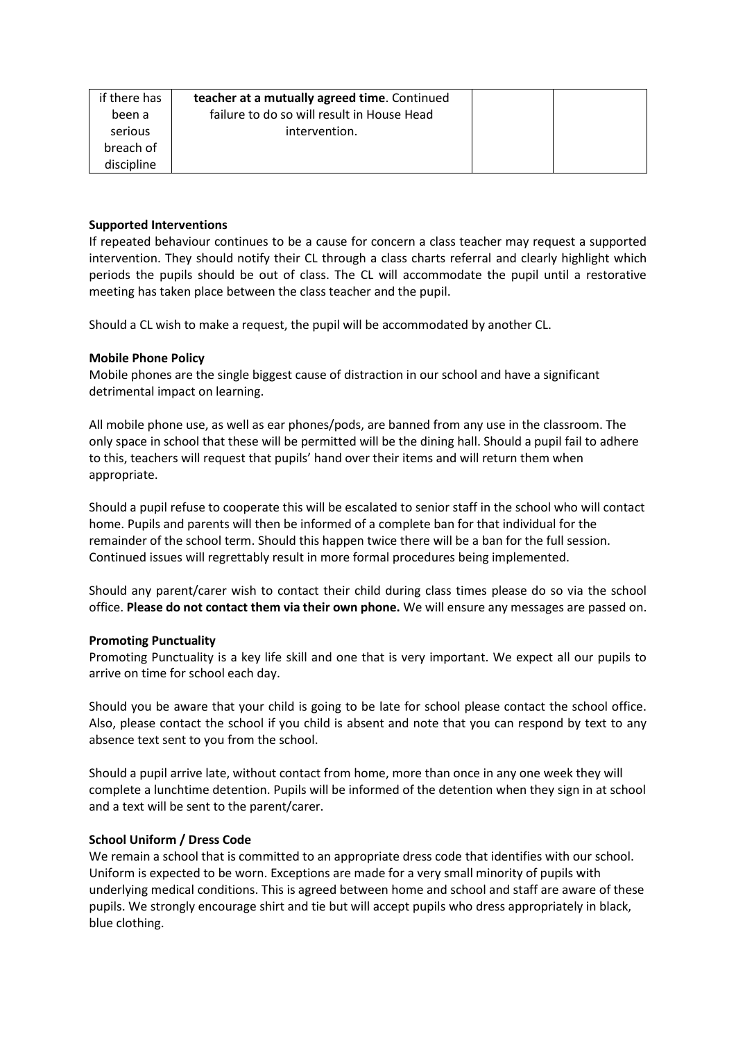| if there has | teacher at a mutually agreed time. Continued |  |
|--------------|----------------------------------------------|--|
| been a       | failure to do so will result in House Head   |  |
| serious      | intervention.                                |  |
| breach of    |                                              |  |
| discipline   |                                              |  |

#### **Supported Interventions**

If repeated behaviour continues to be a cause for concern a class teacher may request a supported intervention. They should notify their CL through a class charts referral and clearly highlight which periods the pupils should be out of class. The CL will accommodate the pupil until a restorative meeting has taken place between the class teacher and the pupil.

Should a CL wish to make a request, the pupil will be accommodated by another CL.

# **Mobile Phone Policy**

Mobile phones are the single biggest cause of distraction in our school and have a significant detrimental impact on learning.

All mobile phone use, as well as ear phones/pods, are banned from any use in the classroom. The only space in school that these will be permitted will be the dining hall. Should a pupil fail to adhere to this, teachers will request that pupils' hand over their items and will return them when appropriate.

Should a pupil refuse to cooperate this will be escalated to senior staff in the school who will contact home. Pupils and parents will then be informed of a complete ban for that individual for the remainder of the school term. Should this happen twice there will be a ban for the full session. Continued issues will regrettably result in more formal procedures being implemented.

Should any parent/carer wish to contact their child during class times please do so via the school office. **Please do not contact them via their own phone.** We will ensure any messages are passed on.

#### **Promoting Punctuality**

Promoting Punctuality is a key life skill and one that is very important. We expect all our pupils to arrive on time for school each day.

Should you be aware that your child is going to be late for school please contact the school office. Also, please contact the school if you child is absent and note that you can respond by text to any absence text sent to you from the school.

Should a pupil arrive late, without contact from home, more than once in any one week they will complete a lunchtime detention. Pupils will be informed of the detention when they sign in at school and a text will be sent to the parent/carer.

#### **School Uniform / Dress Code**

We remain a school that is committed to an appropriate dress code that identifies with our school. Uniform is expected to be worn. Exceptions are made for a very small minority of pupils with underlying medical conditions. This is agreed between home and school and staff are aware of these pupils. We strongly encourage shirt and tie but will accept pupils who dress appropriately in black, blue clothing.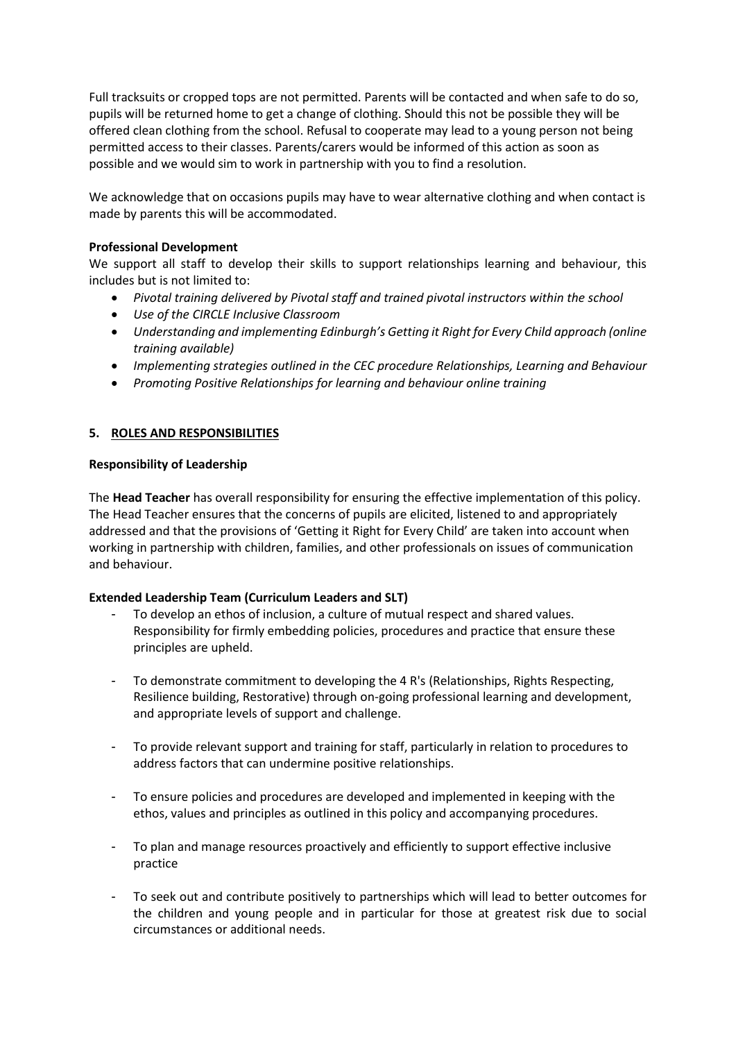Full tracksuits or cropped tops are not permitted. Parents will be contacted and when safe to do so, pupils will be returned home to get a change of clothing. Should this not be possible they will be offered clean clothing from the school. Refusal to cooperate may lead to a young person not being permitted access to their classes. Parents/carers would be informed of this action as soon as possible and we would sim to work in partnership with you to find a resolution.

We acknowledge that on occasions pupils may have to wear alternative clothing and when contact is made by parents this will be accommodated.

# **Professional Development**

We support all staff to develop their skills to support relationships learning and behaviour, this includes but is not limited to:

- *Pivotal training delivered by Pivotal staff and trained pivotal instructors within the school*
- *Use of the CIRCLE Inclusive Classroom*
- *Understanding and implementing Edinburgh's Getting it Right for Every Child approach (online training available)*
- *Implementing strategies outlined in the CEC procedure Relationships, Learning and Behaviour*
- *Promoting Positive Relationships for learning and behaviour online training*

# **5. ROLES AND RESPONSIBILITIES**

# **Responsibility of Leadership**

The **Head Teacher** has overall responsibility for ensuring the effective implementation of this policy. The Head Teacher ensures that the concerns of pupils are elicited, listened to and appropriately addressed and that the provisions of 'Getting it Right for Every Child' are taken into account when working in partnership with children, families, and other professionals on issues of communication and behaviour.

# **Extended Leadership Team (Curriculum Leaders and SLT)**

- To develop an ethos of inclusion, a culture of mutual respect and shared values. Responsibility for firmly embedding policies, procedures and practice that ensure these principles are upheld.
- To demonstrate commitment to developing the 4 R's (Relationships, Rights Respecting, Resilience building, Restorative) through on-going professional learning and development, and appropriate levels of support and challenge.
- To provide relevant support and training for staff, particularly in relation to procedures to address factors that can undermine positive relationships.
- To ensure policies and procedures are developed and implemented in keeping with the ethos, values and principles as outlined in this policy and accompanying procedures.
- To plan and manage resources proactively and efficiently to support effective inclusive practice
- To seek out and contribute positively to partnerships which will lead to better outcomes for the children and young people and in particular for those at greatest risk due to social circumstances or additional needs.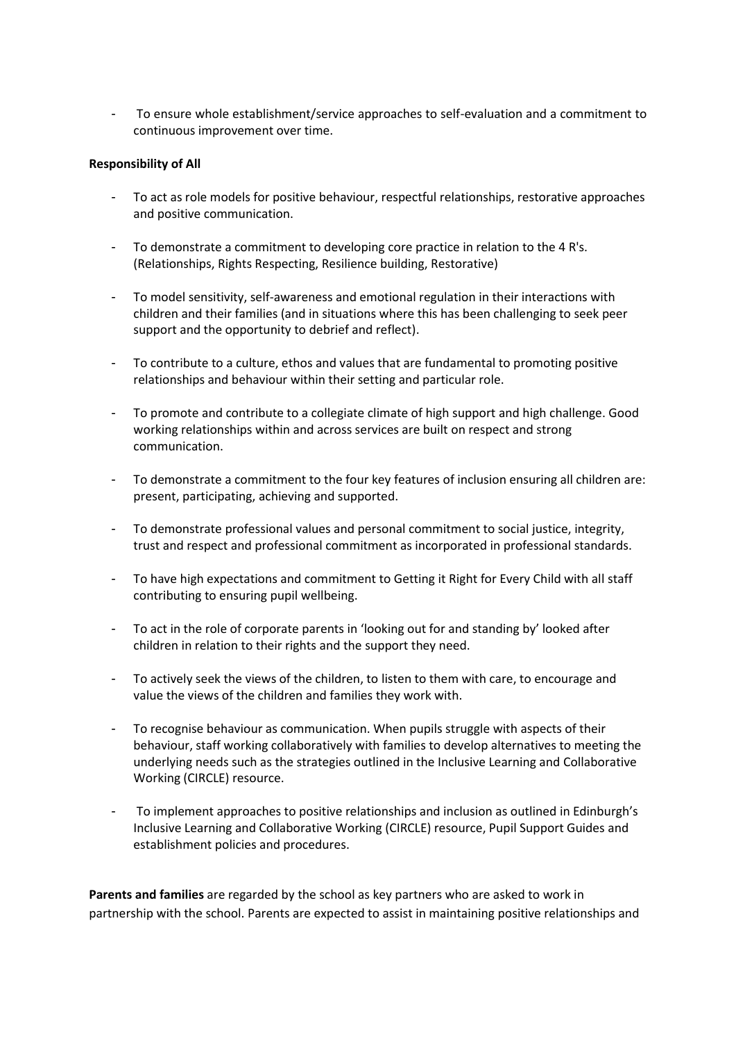To ensure whole establishment/service approaches to self-evaluation and a commitment to continuous improvement over time.

### **Responsibility of All**

- To act as role models for positive behaviour, respectful relationships, restorative approaches and positive communication.
- To demonstrate a commitment to developing core practice in relation to the 4 R's. (Relationships, Rights Respecting, Resilience building, Restorative)
- To model sensitivity, self-awareness and emotional regulation in their interactions with children and their families (and in situations where this has been challenging to seek peer support and the opportunity to debrief and reflect).
- To contribute to a culture, ethos and values that are fundamental to promoting positive relationships and behaviour within their setting and particular role.
- To promote and contribute to a collegiate climate of high support and high challenge. Good working relationships within and across services are built on respect and strong communication.
- To demonstrate a commitment to the four key features of inclusion ensuring all children are: present, participating, achieving and supported.
- To demonstrate professional values and personal commitment to social justice, integrity, trust and respect and professional commitment as incorporated in professional standards.
- To have high expectations and commitment to Getting it Right for Every Child with all staff contributing to ensuring pupil wellbeing.
- To act in the role of corporate parents in 'looking out for and standing by' looked after children in relation to their rights and the support they need.
- To actively seek the views of the children, to listen to them with care, to encourage and value the views of the children and families they work with.
- To recognise behaviour as communication. When pupils struggle with aspects of their behaviour, staff working collaboratively with families to develop alternatives to meeting the underlying needs such as the strategies outlined in the Inclusive Learning and Collaborative Working (CIRCLE) resource.
- To implement approaches to positive relationships and inclusion as outlined in Edinburgh's Inclusive Learning and Collaborative Working (CIRCLE) resource, Pupil Support Guides and establishment policies and procedures.

**Parents and families** are regarded by the school as key partners who are asked to work in partnership with the school. Parents are expected to assist in maintaining positive relationships and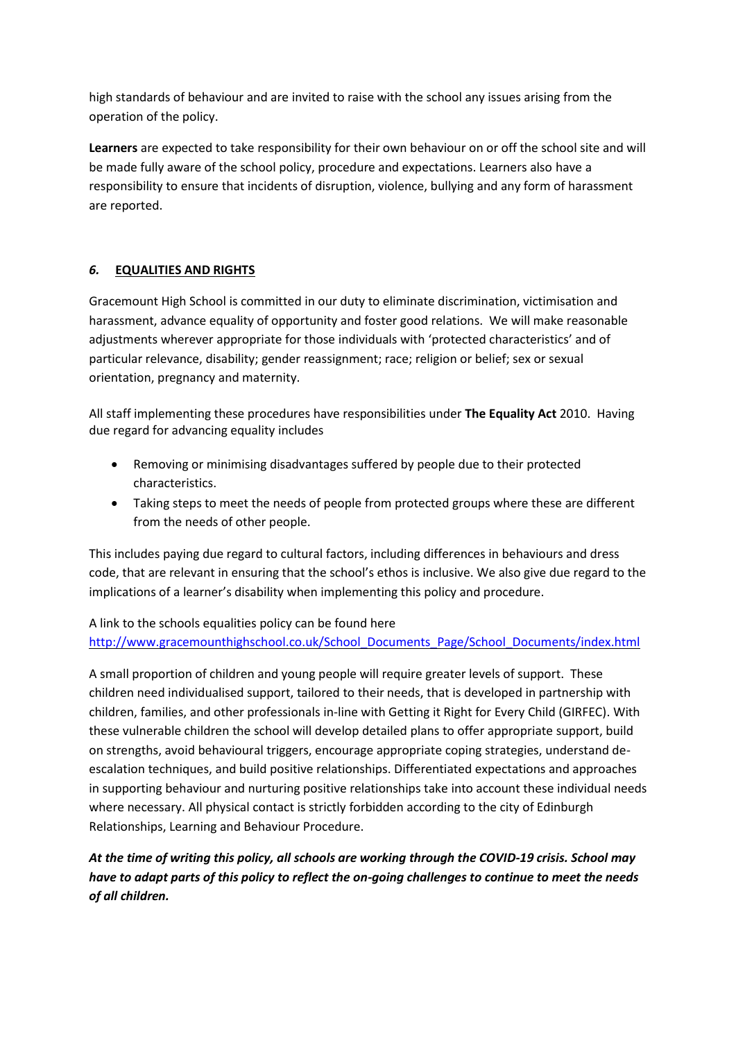high standards of behaviour and are invited to raise with the school any issues arising from the operation of the policy.

**Learners** are expected to take responsibility for their own behaviour on or off the school site and will be made fully aware of the school policy, procedure and expectations. Learners also have a responsibility to ensure that incidents of disruption, violence, bullying and any form of harassment are reported.

# *6.* **EQUALITIES AND RIGHTS**

Gracemount High School is committed in our duty to eliminate discrimination, victimisation and harassment, advance equality of opportunity and foster good relations. We will make reasonable adjustments wherever appropriate for those individuals with 'protected characteristics' and of particular relevance, disability; gender reassignment; race; religion or belief; sex or sexual orientation, pregnancy and maternity.

All staff implementing these procedures have responsibilities under **The Equality Act** 2010. Having due regard for advancing equality includes

- Removing or minimising disadvantages suffered by people due to their protected characteristics.
- Taking steps to meet the needs of people from protected groups where these are different from the needs of other people.

This includes paying due regard to cultural factors, including differences in behaviours and dress code, that are relevant in ensuring that the school's ethos is inclusive. We also give due regard to the implications of a learner's disability when implementing this policy and procedure.

A link to the schools equalities policy can be found here [http://www.gracemounthighschool.co.uk/School\\_Documents\\_Page/School\\_Documents/index.html](http://www.gracemounthighschool.co.uk/School_Documents_Page/School_Documents/index.html)

A small proportion of children and young people will require greater levels of support. These children need individualised support, tailored to their needs, that is developed in partnership with children, families, and other professionals in-line with Getting it Right for Every Child (GIRFEC). With these vulnerable children the school will develop detailed plans to offer appropriate support, build on strengths, avoid behavioural triggers, encourage appropriate coping strategies, understand deescalation techniques, and build positive relationships. Differentiated expectations and approaches in supporting behaviour and nurturing positive relationships take into account these individual needs where necessary. All physical contact is strictly forbidden according to the city of Edinburgh Relationships, Learning and Behaviour Procedure.

*At the time of writing this policy, all schools are working through the COVID-19 crisis. School may have to adapt parts of this policy to reflect the on-going challenges to continue to meet the needs of all children.*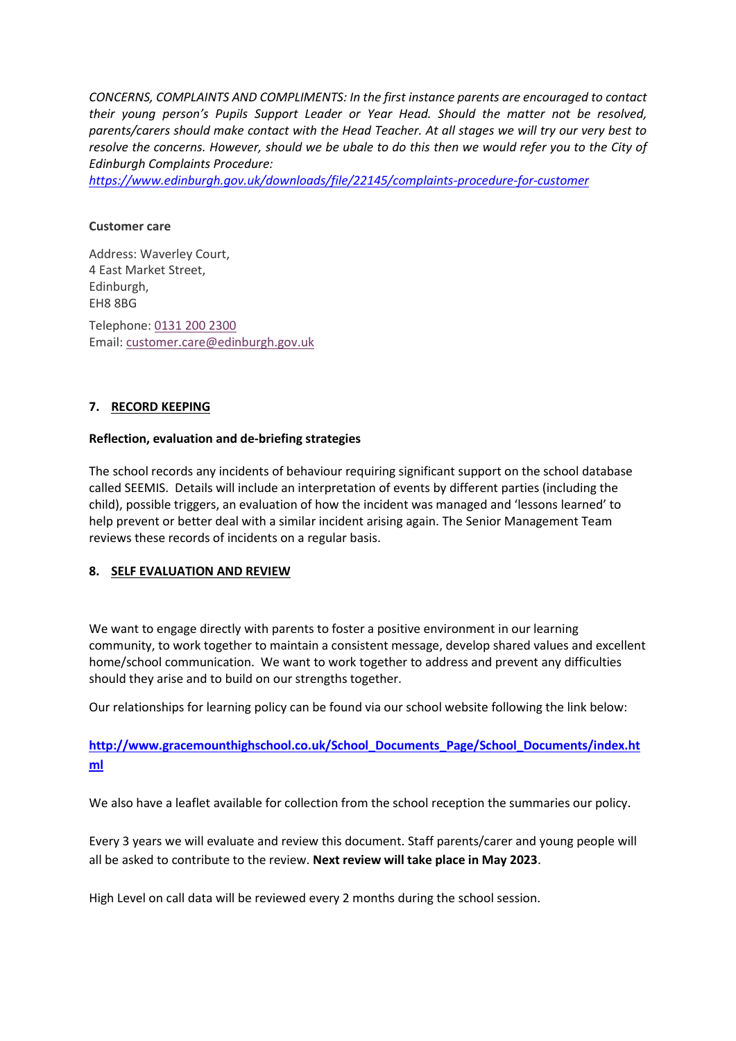*CONCERNS, COMPLAINTS AND COMPLIMENTS: In the first instance parents are encouraged to contact their young person's Pupils Support Leader or Year Head. Should the matter not be resolved, parents/carers should make contact with the Head Teacher. At all stages we will try our very best to resolve the concerns. However, should we be ubale to do this then we would refer you to the City of Edinburgh Complaints Procedure:*

*<https://www.edinburgh.gov.uk/downloads/file/22145/complaints-procedure-for-customer>*

#### **Customer care**

Address: Waverley Court, 4 East Market Street, Edinburgh, EH8 8BG Telephone: [0131 200 2300](tel:01312002300) Email: [customer.care@edinburgh.gov.uk](mailto:customer.care@edinburgh.gov.uk)

# **7. RECORD KEEPING**

#### **Reflection, evaluation and de-briefing strategies**

The school records any incidents of behaviour requiring significant support on the school database called SEEMIS. Details will include an interpretation of events by different parties (including the child), possible triggers, an evaluation of how the incident was managed and 'lessons learned' to help prevent or better deal with a similar incident arising again. The Senior Management Team reviews these records of incidents on a regular basis.

#### **8. SELF EVALUATION AND REVIEW**

We want to engage directly with parents to foster a positive environment in our learning community, to work together to maintain a consistent message, develop shared values and excellent home/school communication. We want to work together to address and prevent any difficulties should they arise and to build on our strengths together.

Our relationships for learning policy can be found via our school website following the link below:

**[http://www.gracemounthighschool.co.uk/School\\_Documents\\_Page/School\\_Documents/index.ht](http://www.gracemounthighschool.co.uk/School_Documents_Page/School_Documents/index.html) [ml](http://www.gracemounthighschool.co.uk/School_Documents_Page/School_Documents/index.html)**

We also have a leaflet available for collection from the school reception the summaries our policy.

Every 3 years we will evaluate and review this document. Staff parents/carer and young people will all be asked to contribute to the review. **Next review will take place in May 2023**.

High Level on call data will be reviewed every 2 months during the school session.